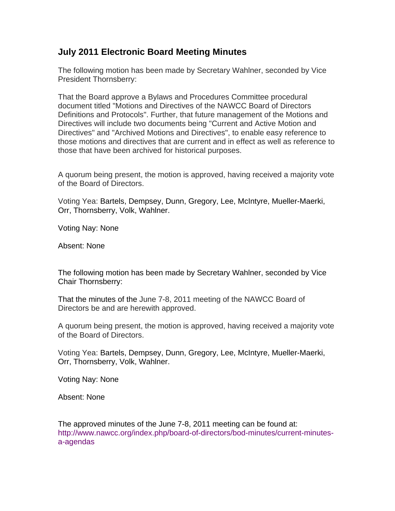## **July 2011 Electronic Board Meeting Minutes**

The following motion has been made by Secretary Wahlner, seconded by Vice President Thornsberry:

That the Board approve a Bylaws and Procedures Committee procedural document titled "Motions and Directives of the NAWCC Board of Directors Definitions and Protocols". Further, that future management of the Motions and Directives will include two documents being "Current and Active Motion and Directives" and "Archived Motions and Directives", to enable easy reference to those motions and directives that are current and in effect as well as reference to those that have been archived for historical purposes.

A quorum being present, the motion is approved, having received a majority vote of the Board of Directors.

Voting Yea: Bartels, Dempsey, Dunn, Gregory, Lee, McIntyre, Mueller-Maerki, Orr, Thornsberry, Volk, Wahlner.

Voting Nay: None

Absent: None

The following motion has been made by Secretary Wahlner, seconded by Vice Chair Thornsberry:

That the minutes of the June 7-8, 2011 meeting of the NAWCC Board of Directors be and are herewith approved.

A quorum being present, the motion is approved, having received a majority vote of the Board of Directors.

Voting Yea: Bartels, Dempsey, Dunn, Gregory, Lee, McIntyre, Mueller-Maerki, Orr, Thornsberry, Volk, Wahlner.

Voting Nay: None

Absent: None

The approved minutes of the June 7-8, 2011 meeting can be found at: [http://www.nawcc.org/index.php/board-of-directors/bod-minutes/current-minutes](http://www.nawcc.org/index.php/board-of-directors/bod-minutes/current-minutes-a-agendas)[a-agendas](http://www.nawcc.org/index.php/board-of-directors/bod-minutes/current-minutes-a-agendas)